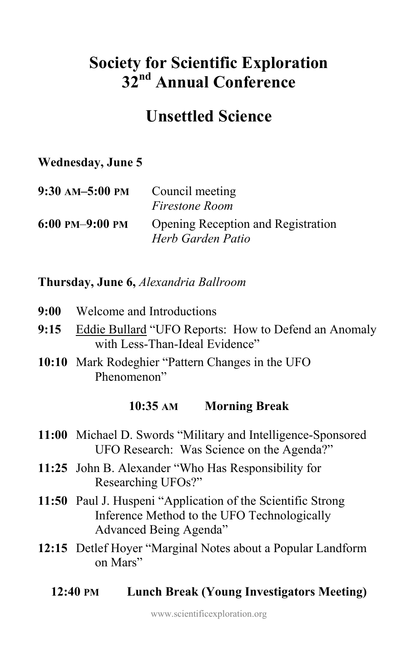# **Society for Scientific Exploration 32nd Annual Conference**

## **Unsettled Science**

## **Wednesday, June 5**

| 9:30 AM-5:00 PM      | Council meeting<br><i>Firestone Room</i>                       |
|----------------------|----------------------------------------------------------------|
| $6:00$ PM $-9:00$ PM | <b>Opening Reception and Registration</b><br>Herb Garden Patio |

## **Thursday, June 6,** *Alexandria Ballroom*

- **9:00** Welcome and Introductions
- **9:15** Eddie Bullard "UFO Reports: How to Defend an Anomaly with Less-Than-Ideal Evidence"
- **10:10** Mark Rodeghier "Pattern Changes in the UFO Phenomenon"

### **10:35 AM Morning Break**

- **11:00** Michael D. Swords "Military and Intelligence-Sponsored UFO Research: Was Science on the Agenda?"
- **11:25** John B. Alexander "Who Has Responsibility for Researching UFOs?"
- **11:50** Paul J. Huspeni "Application of the Scientific Strong Inference Method to the UFO Technologically Advanced Being Agenda"
- **12:15** Detlef Hoyer "Marginal Notes about a Popular Landform on Mars"
	- **12:40 PM Lunch Break (Young Investigators Meeting)**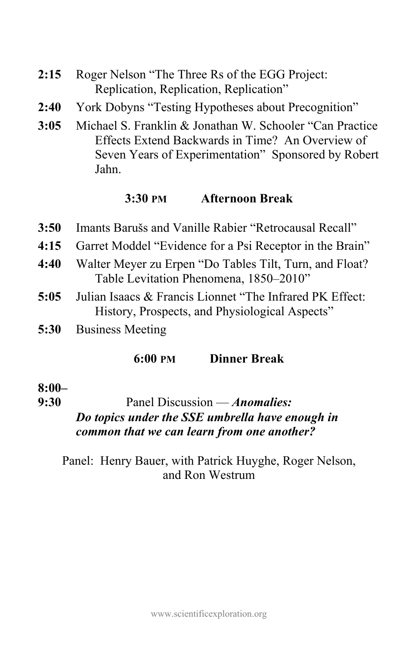- **2:15** Roger Nelson "The Three Rs of the EGG Project: Replication, Replication, Replication"
- **2:40** York Dobyns "Testing Hypotheses about Precognition"
- **3:05** Michael S. Franklin & Jonathan W. Schooler "Can Practice Effects Extend Backwards in Time? An Overview of Seven Years of Experimentation" Sponsored by Robert Jahn.

### **3:30 PM Afternoon Break**

- **3:50** Imants Barušs and Vanille Rabier "Retrocausal Recall"
- **4:15** Garret Moddel "Evidence for a Psi Receptor in the Brain"
- **4:40** Walter Meyer zu Erpen "Do Tables Tilt, Turn, and Float? Table Levitation Phenomena, 1850–2010"
- **5:05** Julian Isaacs & Francis Lionnet "The Infrared PK Effect: History, Prospects, and Physiological Aspects"
- **5:30** Business Meeting

**6:00 PM Dinner Break** 

#### **8:00–**

**9:30** Panel Discussion — *Anomalies:*

## *Do topics under the SSE umbrella have enough in common that we can learn from one another?*

Panel: Henry Bauer, with Patrick Huyghe, Roger Nelson, and Ron Westrum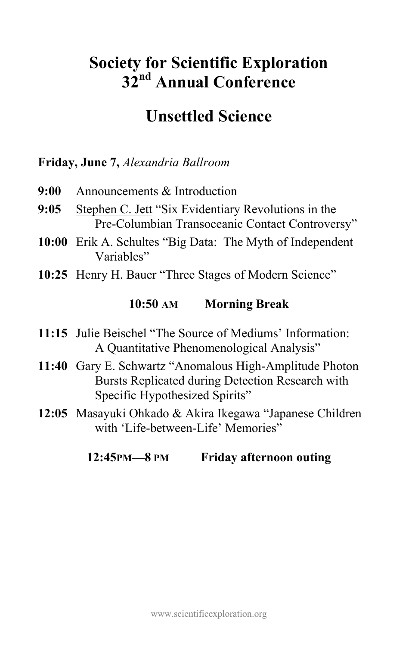# **Society for Scientific Exploration 32nd Annual Conference**

## **Unsettled Science**

## **Friday, June 7,** *Alexandria Ballroom*

- **9:00** Announcements & Introduction
- **9:05** Stephen C. Jett "Six Evidentiary Revolutions in the Pre-Columbian Transoceanic Contact Controversy"
- **10:00** Erik A. Schultes "Big Data: The Myth of Independent Variables"
- 10:25 Henry H. Bauer "Three Stages of Modern Science"

### **10:50 AM Morning Break**

- **11:15** Julie Beischel "The Source of Mediums' Information: A Quantitative Phenomenological Analysis"
- **11:40** Gary E. Schwartz "Anomalous High-Amplitude Photon Bursts Replicated during Detection Research with Specific Hypothesized Spirits"
- **12:05** Masayuki Ohkado & Akira Ikegawa "Japanese Children with 'Life-between-Life' Memories"

## **12:45PM—8 PM Friday afternoon outing**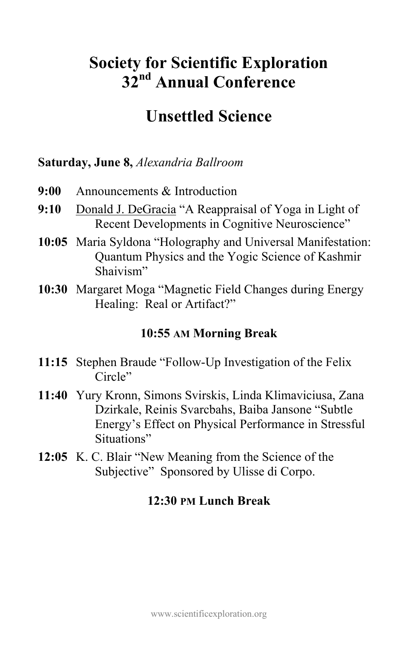# **Society for Scientific Exploration 32nd Annual Conference**

## **Unsettled Science**

## **Saturday, June 8,** *Alexandria Ballroom*

- **9:00** Announcements & Introduction
- **9:10** Donald J. DeGracia "A Reappraisal of Yoga in Light of Recent Developments in Cognitive Neuroscience"
- **10:05** Maria Syldona "Holography and Universal Manifestation: Quantum Physics and the Yogic Science of Kashmir Shaivism"
- **10:30** Margaret Moga "Magnetic Field Changes during Energy Healing: Real or Artifact?"

## **10:55 AM Morning Break**

- **11:15** Stephen Braude "Follow-Up Investigation of the Felix Circle"
- **11:40** Yury Kronn, Simons Svirskis, Linda Klimaviciusa, Zana Dzirkale, Reinis Svarcbahs, Baiba Jansone "Subtle Energy's Effect on Physical Performance in Stressful Situations"
- **12:05** K. C. Blair "New Meaning from the Science of the Subjective" Sponsored by Ulisse di Corpo.

## **12:30 PM Lunch Break**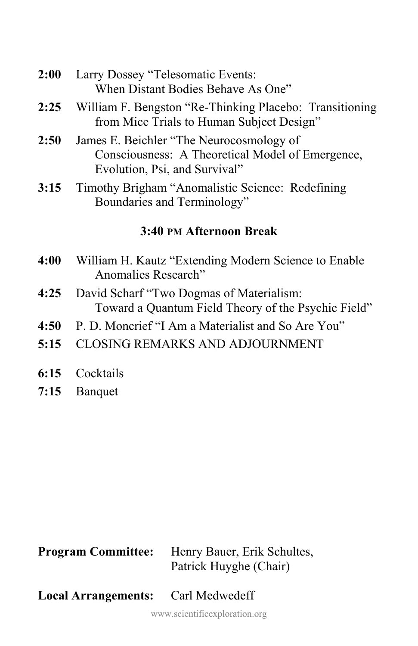- **2:00** Larry Dossey "Telesomatic Events: When Distant Bodies Behave As One"
- **2:25** William F. Bengston "Re-Thinking Placebo: Transitioning from Mice Trials to Human Subject Design"
- **2:50** James E. Beichler "The Neurocosmology of Consciousness: A Theoretical Model of Emergence, Evolution, Psi, and Survival"
- **3:15** Timothy Brigham "Anomalistic Science: Redefining Boundaries and Terminology"

## **3:40 PM Afternoon Break**

- **4:00** William H. Kautz "Extending Modern Science to Enable Anomalies Research"
- **4:25** David Scharf "Two Dogmas of Materialism: Toward a Quantum Field Theory of the Psychic Field"
- **4:50** P. D. Moncrief "I Am a Materialist and So Are You"
- **5:15** CLOSING REMARKS AND ADJOURNMENT
- **6:15** Cocktails
- **7:15** Banquet

| <b>Program Committee:</b>  | Henry Bauer, Erik Schultes,<br>Patrick Huyghe (Chair) |
|----------------------------|-------------------------------------------------------|
| <b>Local Arrangements:</b> | Carl Medwedeff                                        |

www.scientificexploration.org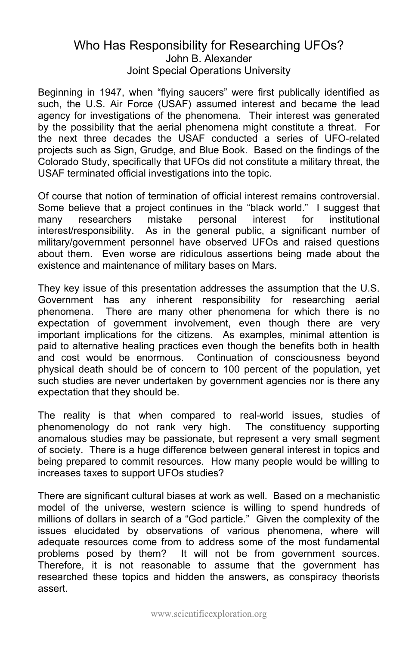#### Who Has Responsibility for Researching UFOs? John B. Alexander Joint Special Operations University

Beginning in 1947, when "flying saucers" were first publically identified as such, the U.S. Air Force (USAF) assumed interest and became the lead agency for investigations of the phenomena. Their interest was generated by the possibility that the aerial phenomena might constitute a threat. For the next three decades the USAF conducted a series of UFO-related projects such as Sign, Grudge, and Blue Book. Based on the findings of the Colorado Study, specifically that UFOs did not constitute a military threat, the USAF terminated official investigations into the topic.

Of course that notion of termination of official interest remains controversial. Some believe that a project continues in the "black world." I suggest that many researchers mistake personal interest for institutional interest/responsibility. As in the general public, a significant number of military/government personnel have observed UFOs and raised questions about them. Even worse are ridiculous assertions being made about the existence and maintenance of military bases on Mars.

They key issue of this presentation addresses the assumption that the U.S. Government has any inherent responsibility for researching aerial phenomena. There are many other phenomena for which there is no expectation of government involvement, even though there are very important implications for the citizens. As examples, minimal attention is paid to alternative healing practices even though the benefits both in health and cost would be enormous. Continuation of consciousness beyond physical death should be of concern to 100 percent of the population, yet such studies are never undertaken by government agencies nor is there any expectation that they should be.

The reality is that when compared to real-world issues, studies of phenomenology do not rank very high. The constituency supporting anomalous studies may be passionate, but represent a very small segment of society. There is a huge difference between general interest in topics and being prepared to commit resources. How many people would be willing to increases taxes to support UFOs studies?

There are significant cultural biases at work as well. Based on a mechanistic model of the universe, western science is willing to spend hundreds of millions of dollars in search of a "God particle." Given the complexity of the issues elucidated by observations of various phenomena, where will adequate resources come from to address some of the most fundamental problems posed by them? It will not be from government sources. Therefore, it is not reasonable to assume that the government has researched these topics and hidden the answers, as conspiracy theorists assert.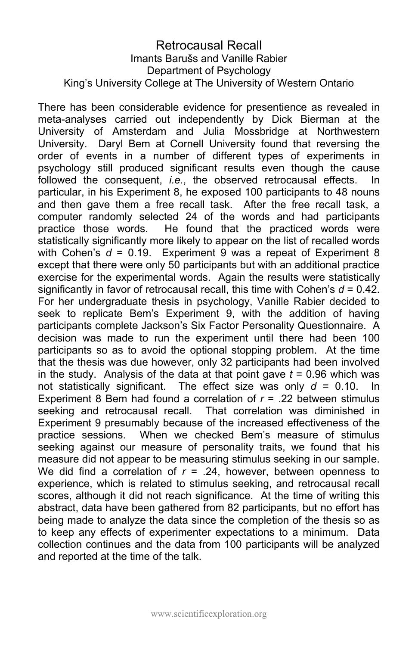#### Retrocausal Recall Imants Barušs and Vanille Rabier Department of Psychology King's University College at The University of Western Ontario

There has been considerable evidence for presentience as revealed in meta-analyses carried out independently by Dick Bierman at the University of Amsterdam and Julia Mossbridge at Northwestern University. Daryl Bem at Cornell University found that reversing the order of events in a number of different types of experiments in psychology still produced significant results even though the cause followed the consequent, *i.e.*, the observed retrocausal effects. In particular, in his Experiment 8, he exposed 100 participants to 48 nouns and then gave them a free recall task. After the free recall task, a computer randomly selected 24 of the words and had participants practice those words. He found that the practiced words were statistically significantly more likely to appear on the list of recalled words with Cohen's *d* = 0.19. Experiment 9 was a repeat of Experiment 8 except that there were only 50 participants but with an additional practice exercise for the experimental words. Again the results were statistically significantly in favor of retrocausal recall, this time with Cohen's *d* = 0.42. For her undergraduate thesis in psychology, Vanille Rabier decided to seek to replicate Bem's Experiment 9, with the addition of having participants complete Jackson's Six Factor Personality Questionnaire. A decision was made to run the experiment until there had been 100 participants so as to avoid the optional stopping problem. At the time that the thesis was due however, only 32 participants had been involved in the study. Analysis of the data at that point gave *t* = 0.96 which was not statistically significant. The effect size was only *d* = 0.10. In Experiment 8 Bem had found a correlation of *r* = .22 between stimulus seeking and retrocausal recall. That correlation was diminished in Experiment 9 presumably because of the increased effectiveness of the practice sessions. When we checked Bem's measure of stimulus seeking against our measure of personality traits, we found that his measure did not appear to be measuring stimulus seeking in our sample. We did find a correlation of  $r = .24$ , however, between openness to experience, which is related to stimulus seeking, and retrocausal recall scores, although it did not reach significance. At the time of writing this abstract, data have been gathered from 82 participants, but no effort has being made to analyze the data since the completion of the thesis so as to keep any effects of experimenter expectations to a minimum. Data collection continues and the data from 100 participants will be analyzed and reported at the time of the talk.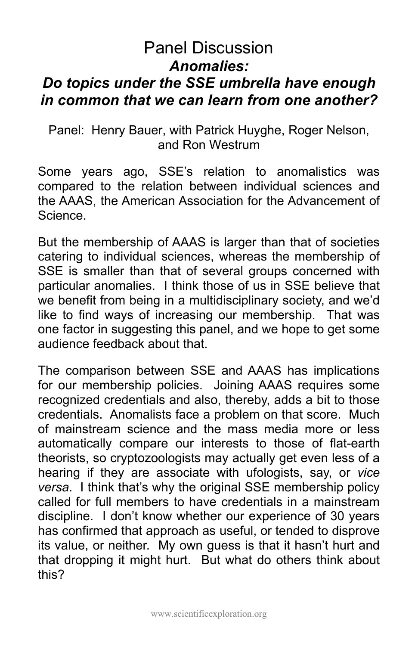## Panel Discussion *Anomalies: Do topics under the SSE umbrella have enough in common that we can learn from one another?*

Panel: Henry Bauer, with Patrick Huyghe, Roger Nelson, and Ron Westrum

Some years ago, SSE's relation to anomalistics was compared to the relation between individual sciences and the AAAS, the American Association for the Advancement of Science.

But the membership of AAAS is larger than that of societies catering to individual sciences, whereas the membership of SSE is smaller than that of several groups concerned with particular anomalies. I think those of us in SSE believe that we benefit from being in a multidisciplinary society, and we'd like to find ways of increasing our membership. That was one factor in suggesting this panel, and we hope to get some audience feedback about that.

The comparison between SSE and AAAS has implications for our membership policies. Joining AAAS requires some recognized credentials and also, thereby, adds a bit to those credentials. Anomalists face a problem on that score. Much of mainstream science and the mass media more or less automatically compare our interests to those of flat-earth theorists, so cryptozoologists may actually get even less of a hearing if they are associate with ufologists, say, or *vice versa*. I think that's why the original SSE membership policy called for full members to have credentials in a mainstream discipline. I don't know whether our experience of 30 years has confirmed that approach as useful, or tended to disprove its value, or neither. My own guess is that it hasn't hurt and that dropping it might hurt. But what do others think about this?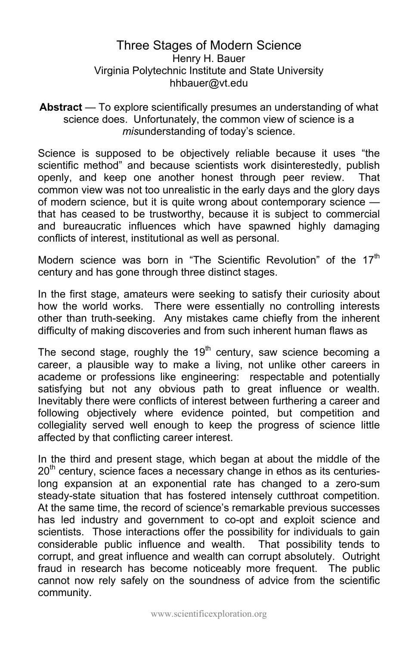#### Three Stages of Modern Science Henry H. Bauer Virginia Polytechnic Institute and State University hhbauer@vt.edu

#### Abstract — To explore scientifically presumes an understanding of what science does. Unfortunately, the common view of science is a *mis*understanding of today's science.

Science is supposed to be objectively reliable because it uses "the scientific method" and because scientists work disinterestedly, publish openly, and keep one another honest through peer review. That common view was not too unrealistic in the early days and the glory days of modern science, but it is quite wrong about contemporary science that has ceased to be trustworthy, because it is subject to commercial and bureaucratic influences which have spawned highly damaging conflicts of interest, institutional as well as personal.

Modern science was born in "The Scientific Revolution" of the  $17<sup>th</sup>$ century and has gone through three distinct stages.

In the first stage, amateurs were seeking to satisfy their curiosity about how the world works. There were essentially no controlling interests other than truth-seeking. Any mistakes came chiefly from the inherent difficulty of making discoveries and from such inherent human flaws as

The second stage, roughly the  $19<sup>th</sup>$  century, saw science becoming a career, a plausible way to make a living, not unlike other careers in academe or professions like engineering: respectable and potentially satisfying but not any obvious path to great influence or wealth. Inevitably there were conflicts of interest between furthering a career and following objectively where evidence pointed, but competition and collegiality served well enough to keep the progress of science little affected by that conflicting career interest.

In the third and present stage, which began at about the middle of the  $20<sup>th</sup>$  century, science faces a necessary change in ethos as its centurieslong expansion at an exponential rate has changed to a zero-sum steady-state situation that has fostered intensely cutthroat competition. At the same time, the record of science's remarkable previous successes has led industry and government to co-opt and exploit science and scientists. Those interactions offer the possibility for individuals to gain considerable public influence and wealth. That possibility tends to corrupt, and great influence and wealth can corrupt absolutely. Outright fraud in research has become noticeably more frequent. The public cannot now rely safely on the soundness of advice from the scientific community.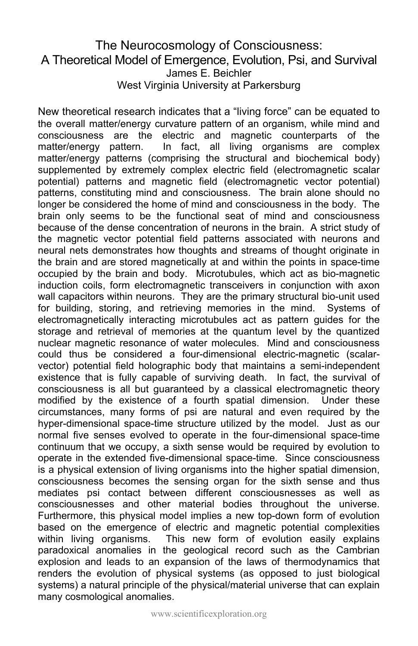#### The Neurocosmology of Consciousness: A Theoretical Model of Emergence, Evolution, Psi, and Survival James E. Beichler West Virginia University at Parkersburg

New theoretical research indicates that a "living force" can be equated to the overall matter/energy curvature pattern of an organism, while mind and consciousness are the electric and magnetic counterparts of the matter/energy pattern. In fact, all living organisms are complex matter/energy patterns (comprising the structural and biochemical body) supplemented by extremely complex electric field (electromagnetic scalar potential) patterns and magnetic field (electromagnetic vector potential) patterns, constituting mind and consciousness. The brain alone should no longer be considered the home of mind and consciousness in the body. The brain only seems to be the functional seat of mind and consciousness because of the dense concentration of neurons in the brain. A strict study of the magnetic vector potential field patterns associated with neurons and neural nets demonstrates how thoughts and streams of thought originate in the brain and are stored magnetically at and within the points in space-time occupied by the brain and body. Microtubules, which act as bio-magnetic induction coils, form electromagnetic transceivers in conjunction with axon wall capacitors within neurons. They are the primary structural bio-unit used for building, storing, and retrieving memories in the mind. Systems of electromagnetically interacting microtubules act as pattern guides for the storage and retrieval of memories at the quantum level by the quantized nuclear magnetic resonance of water molecules. Mind and consciousness could thus be considered a four-dimensional electric-magnetic (scalarvector) potential field holographic body that maintains a semi-independent existence that is fully capable of surviving death. In fact, the survival of consciousness is all but guaranteed by a classical electromagnetic theory modified by the existence of a fourth spatial dimension. Under these circumstances, many forms of psi are natural and even required by the hyper-dimensional space-time structure utilized by the model. Just as our normal five senses evolved to operate in the four-dimensional space-time continuum that we occupy, a sixth sense would be required by evolution to operate in the extended five-dimensional space-time. Since consciousness is a physical extension of living organisms into the higher spatial dimension, consciousness becomes the sensing organ for the sixth sense and thus mediates psi contact between different consciousnesses as well as consciousnesses and other material bodies throughout the universe. Furthermore, this physical model implies a new top-down form of evolution based on the emergence of electric and magnetic potential complexities within living organisms. This new form of evolution easily explains paradoxical anomalies in the geological record such as the Cambrian explosion and leads to an expansion of the laws of thermodynamics that renders the evolution of physical systems (as opposed to just biological systems) a natural principle of the physical/material universe that can explain many cosmological anomalies.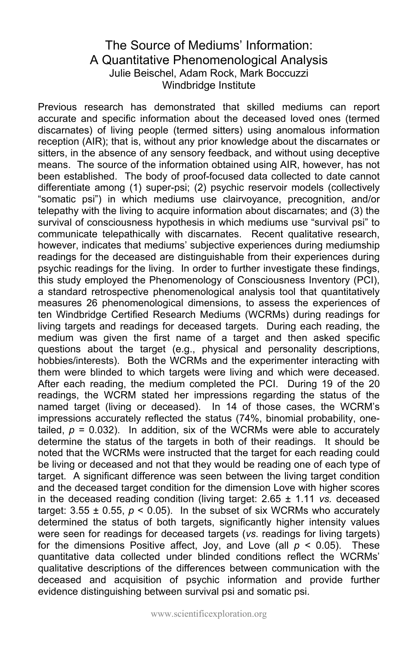### The Source of Mediums' Information: A Quantitative Phenomenological Analysis Julie Beischel, Adam Rock, Mark Boccuzzi Windbridge Institute

Previous research has demonstrated that skilled mediums can report accurate and specific information about the deceased loved ones (termed discarnates) of living people (termed sitters) using anomalous information reception (AIR); that is, without any prior knowledge about the discarnates or sitters, in the absence of any sensory feedback, and without using deceptive means. The source of the information obtained using AIR, however, has not been established. The body of proof-focused data collected to date cannot differentiate among (1) super-psi; (2) psychic reservoir models (collectively "somatic psi") in which mediums use clairvoyance, precognition, and/or telepathy with the living to acquire information about discarnates; and (3) the survival of consciousness hypothesis in which mediums use "survival psi" to communicate telepathically with discarnates. Recent qualitative research, however, indicates that mediums' subjective experiences during mediumship readings for the deceased are distinguishable from their experiences during psychic readings for the living. In order to further investigate these findings, this study employed the Phenomenology of Consciousness Inventory (PCI), a standard retrospective phenomenological analysis tool that quantitatively measures 26 phenomenological dimensions, to assess the experiences of ten Windbridge Certified Research Mediums (WCRMs) during readings for living targets and readings for deceased targets. During each reading, the medium was given the first name of a target and then asked specific questions about the target (e.g., physical and personality descriptions, hobbies/interests). Both the WCRMs and the experimenter interacting with them were blinded to which targets were living and which were deceased. After each reading, the medium completed the PCI. During 19 of the 20 readings, the WCRM stated her impressions regarding the status of the named target (living or deceased). In 14 of those cases, the WCRM's impressions accurately reflected the status (74%, binomial probability, onetailed,  $p = 0.032$ ). In addition, six of the WCRMs were able to accurately determine the status of the targets in both of their readings. It should be noted that the WCRMs were instructed that the target for each reading could be living or deceased and not that they would be reading one of each type of target. A significant difference was seen between the living target condition and the deceased target condition for the dimension Love with higher scores in the deceased reading condition (living target: 2.65 ± 1.11 *vs.* deceased target:  $3.55 \pm 0.55$ ,  $p \le 0.05$ ). In the subset of six WCRMs who accurately determined the status of both targets, significantly higher intensity values were seen for readings for deceased targets (*vs*. readings for living targets) for the dimensions Positive affect, Joy, and Love (all  $p < 0.05$ ). These quantitative data collected under blinded conditions reflect the WCRMs' qualitative descriptions of the differences between communication with the deceased and acquisition of psychic information and provide further evidence distinguishing between survival psi and somatic psi.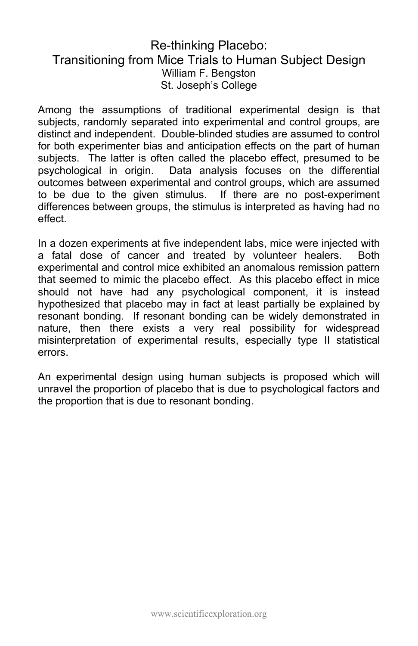### Re-thinking Placebo: Transitioning from Mice Trials to Human Subject Design William F. Bengston St. Joseph's College

Among the assumptions of traditional experimental design is that subjects, randomly separated into experimental and control groups, are distinct and independent. Double-blinded studies are assumed to control for both experimenter bias and anticipation effects on the part of human subjects. The latter is often called the placebo effect, presumed to be psychological in origin. Data analysis focuses on the differential outcomes between experimental and control groups, which are assumed to be due to the given stimulus. If there are no post-experiment differences between groups, the stimulus is interpreted as having had no effect.

In a dozen experiments at five independent labs, mice were injected with a fatal dose of cancer and treated by volunteer healers. Both experimental and control mice exhibited an anomalous remission pattern that seemed to mimic the placebo effect. As this placebo effect in mice should not have had any psychological component, it is instead hypothesized that placebo may in fact at least partially be explained by resonant bonding. If resonant bonding can be widely demonstrated in nature, then there exists a very real possibility for widespread misinterpretation of experimental results, especially type II statistical errors.

An experimental design using human subjects is proposed which will unravel the proportion of placebo that is due to psychological factors and the proportion that is due to resonant bonding.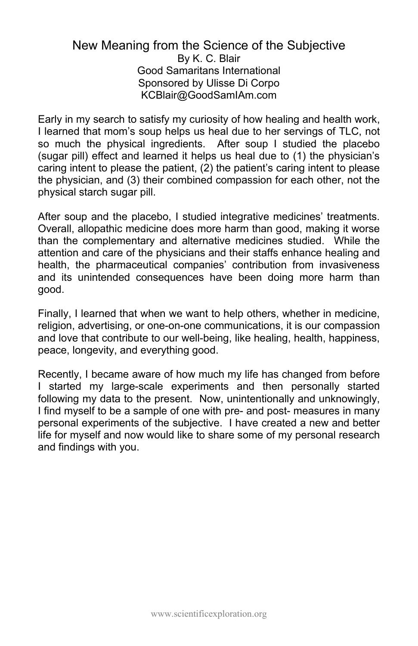#### New Meaning from the Science of the Subjective By K. C. Blair Good Samaritans International Sponsored by Ulisse Di Corpo KCBlair@GoodSamIAm.com

Early in my search to satisfy my curiosity of how healing and health work, I learned that mom's soup helps us heal due to her servings of TLC, not so much the physical ingredients. After soup I studied the placebo (sugar pill) effect and learned it helps us heal due to (1) the physician's caring intent to please the patient, (2) the patient's caring intent to please the physician, and (3) their combined compassion for each other, not the physical starch sugar pill.

After soup and the placebo, I studied integrative medicines' treatments. Overall, allopathic medicine does more harm than good, making it worse than the complementary and alternative medicines studied. While the attention and care of the physicians and their staffs enhance healing and health, the pharmaceutical companies' contribution from invasiveness and its unintended consequences have been doing more harm than good.

Finally, I learned that when we want to help others, whether in medicine, religion, advertising, or one-on-one communications, it is our compassion and love that contribute to our well-being, like healing, health, happiness, peace, longevity, and everything good.

Recently, I became aware of how much my life has changed from before I started my large-scale experiments and then personally started following my data to the present. Now, unintentionally and unknowingly, I find myself to be a sample of one with pre- and post- measures in many personal experiments of the subjective. I have created a new and better life for myself and now would like to share some of my personal research and findings with you.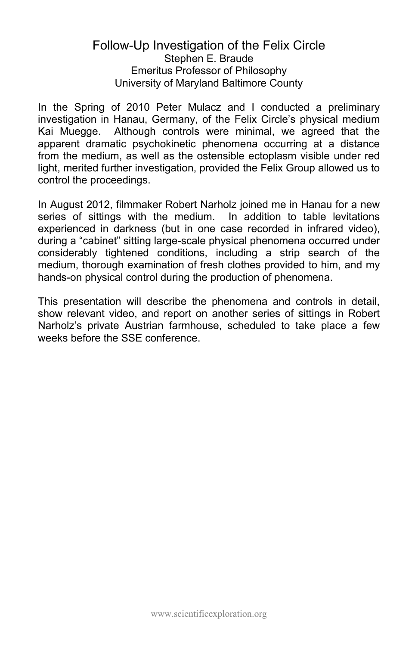#### Follow-Up Investigation of the Felix Circle Stephen E. Braude Emeritus Professor of Philosophy University of Maryland Baltimore County

In the Spring of 2010 Peter Mulacz and I conducted a preliminary investigation in Hanau, Germany, of the Felix Circle's physical medium Kai Muegge. Although controls were minimal, we agreed that the apparent dramatic psychokinetic phenomena occurring at a distance from the medium, as well as the ostensible ectoplasm visible under red light, merited further investigation, provided the Felix Group allowed us to control the proceedings.

In August 2012, filmmaker Robert Narholz joined me in Hanau for a new series of sittings with the medium. In addition to table levitations experienced in darkness (but in one case recorded in infrared video), during a "cabinet" sitting large-scale physical phenomena occurred under considerably tightened conditions, including a strip search of the medium, thorough examination of fresh clothes provided to him, and my hands-on physical control during the production of phenomena.

This presentation will describe the phenomena and controls in detail, show relevant video, and report on another series of sittings in Robert Narholz's private Austrian farmhouse, scheduled to take place a few weeks before the SSE conference.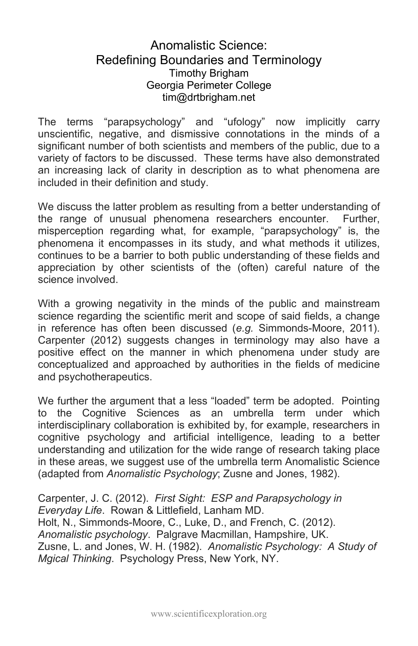#### Anomalistic Science: Redefining Boundaries and Terminology Timothy Brigham Georgia Perimeter College tim@drtbrigham.net

The terms "parapsychology" and "ufology" now implicitly carry unscientific, negative, and dismissive connotations in the minds of a significant number of both scientists and members of the public, due to a variety of factors to be discussed. These terms have also demonstrated an increasing lack of clarity in description as to what phenomena are included in their definition and study.

We discuss the latter problem as resulting from a better understanding of the range of unusual phenomena researchers encounter. Further, misperception regarding what, for example, "parapsychology" is, the phenomena it encompasses in its study, and what methods it utilizes, continues to be a barrier to both public understanding of these fields and appreciation by other scientists of the (often) careful nature of the science involved.

With a growing negativity in the minds of the public and mainstream science regarding the scientific merit and scope of said fields, a change in reference has often been discussed (*e.g.* Simmonds-Moore, 2011). Carpenter (2012) suggests changes in terminology may also have a positive effect on the manner in which phenomena under study are conceptualized and approached by authorities in the fields of medicine and psychotherapeutics.

We further the argument that a less "loaded" term be adopted. Pointing to the Cognitive Sciences as an umbrella term under which interdisciplinary collaboration is exhibited by, for example, researchers in cognitive psychology and artificial intelligence, leading to a better understanding and utilization for the wide range of research taking place in these areas, we suggest use of the umbrella term Anomalistic Science (adapted from *Anomalistic Psychology*; Zusne and Jones, 1982).

Carpenter, J. C. (2012). *First Sight: ESP and Parapsychology in Everyday Life*. Rowan & Littlefield, Lanham MD. Holt, N., Simmonds-Moore, C., Luke, D., and French, C. (2012). *Anomalistic psychology*. Palgrave Macmillan, Hampshire, UK. Zusne, L. and Jones, W. H. (1982). *Anomalistic Psychology: A Study of Mgical Thinking*. Psychology Press, New York, NY.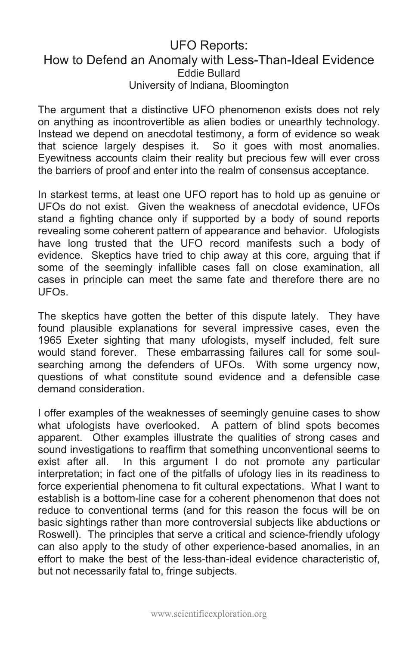#### UFO Reports: How to Defend an Anomaly with Less-Than-Ideal Evidence Eddie Bullard University of Indiana, Bloomington

The argument that a distinctive UFO phenomenon exists does not rely on anything as incontrovertible as alien bodies or unearthly technology. Instead we depend on anecdotal testimony, a form of evidence so weak that science largely despises it. So it goes with most anomalies. Eyewitness accounts claim their reality but precious few will ever cross the barriers of proof and enter into the realm of consensus acceptance.

In starkest terms, at least one UFO report has to hold up as genuine or UFOs do not exist. Given the weakness of anecdotal evidence, UFOs stand a fighting chance only if supported by a body of sound reports revealing some coherent pattern of appearance and behavior. Ufologists have long trusted that the UFO record manifests such a body of evidence. Skeptics have tried to chip away at this core, arguing that if some of the seemingly infallible cases fall on close examination, all cases in principle can meet the same fate and therefore there are no UFOs.

The skeptics have gotten the better of this dispute lately. They have found plausible explanations for several impressive cases, even the 1965 Exeter sighting that many ufologists, myself included, felt sure would stand forever. These embarrassing failures call for some soulsearching among the defenders of UFOs. With some urgency now, questions of what constitute sound evidence and a defensible case demand consideration.

I offer examples of the weaknesses of seemingly genuine cases to show what ufologists have overlooked. A pattern of blind spots becomes apparent. Other examples illustrate the qualities of strong cases and sound investigations to reaffirm that something unconventional seems to exist after all. In this argument I do not promote any particular interpretation; in fact one of the pitfalls of ufology lies in its readiness to force experiential phenomena to fit cultural expectations. What I want to establish is a bottom-line case for a coherent phenomenon that does not reduce to conventional terms (and for this reason the focus will be on basic sightings rather than more controversial subjects like abductions or Roswell). The principles that serve a critical and science-friendly ufology can also apply to the study of other experience-based anomalies, in an effort to make the best of the less-than-ideal evidence characteristic of, but not necessarily fatal to, fringe subjects.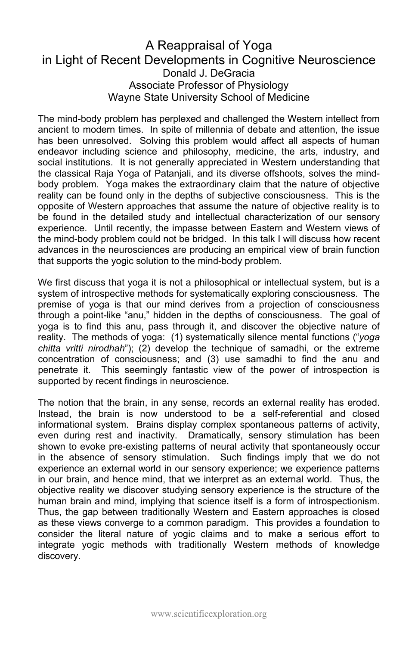#### A Reappraisal of Yoga in Light of Recent Developments in Cognitive Neuroscience Donald J. DeGracia Associate Professor of Physiology Wayne State University School of Medicine

The mind-body problem has perplexed and challenged the Western intellect from ancient to modern times. In spite of millennia of debate and attention, the issue has been unresolved. Solving this problem would affect all aspects of human endeavor including science and philosophy, medicine, the arts, industry, and social institutions. It is not generally appreciated in Western understanding that the classical Raja Yoga of Patanjali, and its diverse offshoots, solves the mindbody problem. Yoga makes the extraordinary claim that the nature of objective reality can be found only in the depths of subjective consciousness. This is the opposite of Western approaches that assume the nature of objective reality is to be found in the detailed study and intellectual characterization of our sensory experience. Until recently, the impasse between Eastern and Western views of the mind-body problem could not be bridged. In this talk I will discuss how recent advances in the neurosciences are producing an empirical view of brain function that supports the yogic solution to the mind-body problem.

We first discuss that yoga it is not a philosophical or intellectual system, but is a system of introspective methods for systematically exploring consciousness. The premise of yoga is that our mind derives from a projection of consciousness through a point-like "anu," hidden in the depths of consciousness. The goal of yoga is to find this anu, pass through it, and discover the objective nature of reality. The methods of yoga: (1) systematically silence mental functions ("*yoga chitta vritti nirodhah*"); (2) develop the technique of samadhi, or the extreme concentration of consciousness; and (3) use samadhi to find the anu and penetrate it. This seemingly fantastic view of the power of introspection is supported by recent findings in neuroscience.

The notion that the brain, in any sense, records an external reality has eroded. Instead, the brain is now understood to be a self-referential and closed informational system. Brains display complex spontaneous patterns of activity, even during rest and inactivity. Dramatically, sensory stimulation has been shown to evoke pre-existing patterns of neural activity that spontaneously occur in the absence of sensory stimulation. Such findings imply that we do not experience an external world in our sensory experience; we experience patterns in our brain, and hence mind, that we interpret as an external world. Thus, the objective reality we discover studying sensory experience is the structure of the human brain and mind, implying that science itself is a form of introspectionism. Thus, the gap between traditionally Western and Eastern approaches is closed as these views converge to a common paradigm. This provides a foundation to consider the literal nature of yogic claims and to make a serious effort to integrate yogic methods with traditionally Western methods of knowledge discovery.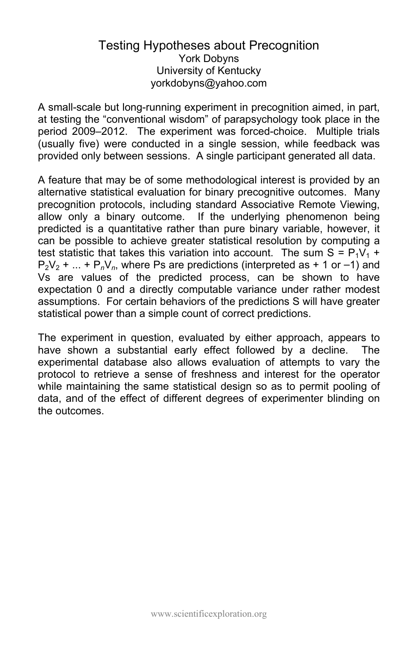#### Testing Hypotheses about Precognition York Dobyns University of Kentucky yorkdobyns@yahoo.com

A small-scale but long-running experiment in precognition aimed, in part, at testing the "conventional wisdom" of parapsychology took place in the period 2009–2012. The experiment was forced-choice. Multiple trials (usually five) were conducted in a single session, while feedback was provided only between sessions. A single participant generated all data.

A feature that may be of some methodological interest is provided by an alternative statistical evaluation for binary precognitive outcomes. Many precognition protocols, including standard Associative Remote Viewing, allow only a binary outcome. If the underlying phenomenon being predicted is a quantitative rather than pure binary variable, however, it can be possible to achieve greater statistical resolution by computing a test statistic that takes this variation into account. The sum  $S = P_1V_1 +$  $P_2V_2$  + ... +  $P_nV_n$ , where Ps are predictions (interpreted as + 1 or -1) and Vs are values of the predicted process, can be shown to have expectation 0 and a directly computable variance under rather modest assumptions. For certain behaviors of the predictions S will have greater statistical power than a simple count of correct predictions.

The experiment in question, evaluated by either approach, appears to have shown a substantial early effect followed by a decline. The experimental database also allows evaluation of attempts to vary the protocol to retrieve a sense of freshness and interest for the operator while maintaining the same statistical design so as to permit pooling of data, and of the effect of different degrees of experimenter blinding on the outcomes.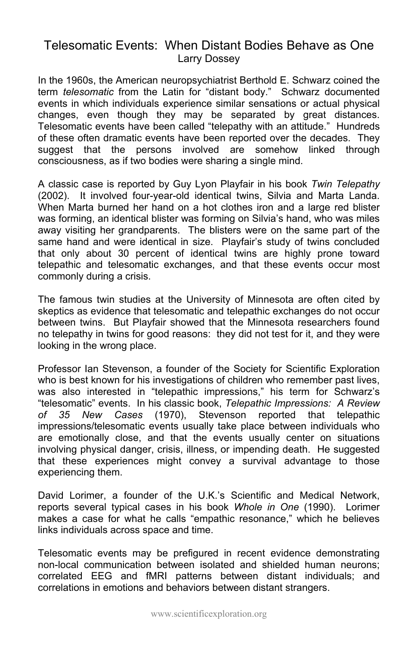### Telesomatic Events: When Distant Bodies Behave as One Larry Dossey

In the 1960s, the American neuropsychiatrist Berthold E. Schwarz coined the term *telesomatic* from the Latin for "distant body." Schwarz documented events in which individuals experience similar sensations or actual physical changes, even though they may be separated by great distances. Telesomatic events have been called "telepathy with an attitude." Hundreds of these often dramatic events have been reported over the decades. They suggest that the persons involved are somehow linked through consciousness, as if two bodies were sharing a single mind.

A classic case is reported by Guy Lyon Playfair in his book *Twin Telepathy*  (2002). It involved four-year-old identical twins, Silvia and Marta Landa. When Marta burned her hand on a hot clothes iron and a large red blister was forming, an identical blister was forming on Silvia's hand, who was miles away visiting her grandparents. The blisters were on the same part of the same hand and were identical in size. Playfair's study of twins concluded that only about 30 percent of identical twins are highly prone toward telepathic and telesomatic exchanges, and that these events occur most commonly during a crisis.

The famous twin studies at the University of Minnesota are often cited by skeptics as evidence that telesomatic and telepathic exchanges do not occur between twins. But Playfair showed that the Minnesota researchers found no telepathy in twins for good reasons: they did not test for it, and they were looking in the wrong place.

Professor Ian Stevenson, a founder of the Society for Scientific Exploration who is best known for his investigations of children who remember past lives, was also interested in "telepathic impressions," his term for Schwarz's "telesomatic" events. In his classic book, *Telepathic Impressions: A Review of 35 New Cases* (1970), Stevenson reported that telepathic impressions/telesomatic events usually take place between individuals who are emotionally close, and that the events usually center on situations involving physical danger, crisis, illness, or impending death. He suggested that these experiences might convey a survival advantage to those experiencing them.

David Lorimer, a founder of the U.K.'s Scientific and Medical Network, reports several typical cases in his book *Whole in One* (1990). Lorimer makes a case for what he calls "empathic resonance," which he believes links individuals across space and time.

Telesomatic events may be prefigured in recent evidence demonstrating non-local communication between isolated and shielded human neurons; correlated EEG and fMRI patterns between distant individuals; and correlations in emotions and behaviors between distant strangers.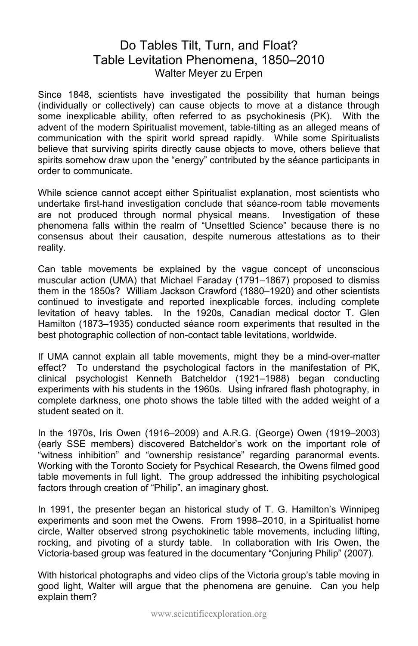## Do Tables Tilt, Turn, and Float? Table Levitation Phenomena, 1850–2010 Walter Meyer zu Erpen

Since 1848, scientists have investigated the possibility that human beings (individually or collectively) can cause objects to move at a distance through some inexplicable ability, often referred to as psychokinesis (PK). With the advent of the modern Spiritualist movement, table-tilting as an alleged means of communication with the spirit world spread rapidly. While some Spiritualists believe that surviving spirits directly cause objects to move, others believe that spirits somehow draw upon the "energy" contributed by the séance participants in order to communicate.

While science cannot accept either Spiritualist explanation, most scientists who undertake first-hand investigation conclude that séance-room table movements are not produced through normal physical means. Investigation of these phenomena falls within the realm of "Unsettled Science" because there is no consensus about their causation, despite numerous attestations as to their reality.

Can table movements be explained by the vague concept of unconscious muscular action (UMA) that Michael Faraday (1791–1867) proposed to dismiss them in the 1850s? William Jackson Crawford (1880–1920) and other scientists continued to investigate and reported inexplicable forces, including complete levitation of heavy tables. In the 1920s, Canadian medical doctor T. Glen Hamilton (1873–1935) conducted séance room experiments that resulted in the best photographic collection of non-contact table levitations, worldwide.

If UMA cannot explain all table movements, might they be a mind-over-matter effect? To understand the psychological factors in the manifestation of PK, clinical psychologist Kenneth Batcheldor (1921–1988) began conducting experiments with his students in the 1960s. Using infrared flash photography, in complete darkness, one photo shows the table tilted with the added weight of a student seated on it.

In the 1970s, Iris Owen (1916–2009) and A.R.G. (George) Owen (1919–2003) (early SSE members) discovered Batcheldor's work on the important role of "witness inhibition" and "ownership resistance" regarding paranormal events. Working with the Toronto Society for Psychical Research, the Owens filmed good table movements in full light. The group addressed the inhibiting psychological factors through creation of "Philip", an imaginary ghost.

In 1991, the presenter began an historical study of T. G. Hamilton's Winnipeg experiments and soon met the Owens. From 1998–2010, in a Spiritualist home circle, Walter observed strong psychokinetic table movements, including lifting, rocking, and pivoting of a sturdy table. In collaboration with Iris Owen, the Victoria-based group was featured in the documentary "Conjuring Philip" (2007).

With historical photographs and video clips of the Victoria group's table moving in good light, Walter will argue that the phenomena are genuine. Can you help explain them?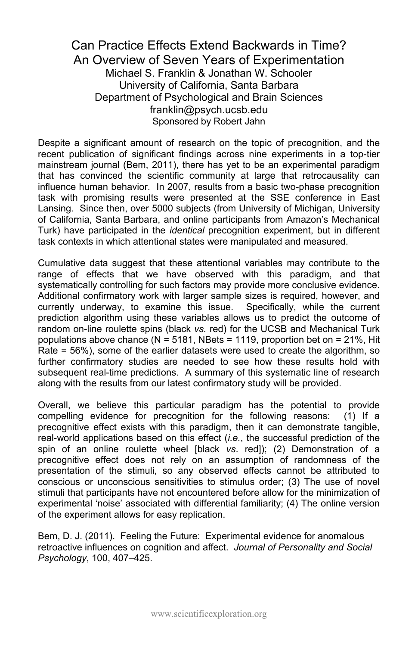#### Can Practice Effects Extend Backwards in Time? An Overview of Seven Years of Experimentation Michael S. Franklin & Jonathan W. Schooler University of California, Santa Barbara Department of Psychological and Brain Sciences franklin@psych.ucsb.edu Sponsored by Robert Jahn

Despite a significant amount of research on the topic of precognition, and the recent publication of significant findings across nine experiments in a top-tier mainstream journal (Bem, 2011), there has yet to be an experimental paradigm that has convinced the scientific community at large that retrocausality can influence human behavior. In 2007, results from a basic two-phase precognition task with promising results were presented at the SSE conference in East Lansing. Since then, over 5000 subjects (from University of Michigan, University of California, Santa Barbara, and online participants from Amazon's Mechanical Turk) have participated in the *identical* precognition experiment, but in different task contexts in which attentional states were manipulated and measured.

Cumulative data suggest that these attentional variables may contribute to the range of effects that we have observed with this paradigm, and that systematically controlling for such factors may provide more conclusive evidence. Additional confirmatory work with larger sample sizes is required, however, and currently underway, to examine this issue. Specifically, while the current prediction algorithm using these variables allows us to predict the outcome of random on-line roulette spins (black *vs.* red) for the UCSB and Mechanical Turk populations above chance ( $N = 5181$ , NBets = 1119, proportion bet on = 21%. Hit Rate = 56%), some of the earlier datasets were used to create the algorithm, so further confirmatory studies are needed to see how these results hold with subsequent real-time predictions. A summary of this systematic line of research along with the results from our latest confirmatory study will be provided.

Overall, we believe this particular paradigm has the potential to provide compelling evidence for precognition for the following reasons: (1) If a precognitive effect exists with this paradigm, then it can demonstrate tangible, real-world applications based on this effect (*i.e.*, the successful prediction of the spin of an online roulette wheel [black *vs*. red]); (2) Demonstration of a precognitive effect does not rely on an assumption of randomness of the presentation of the stimuli, so any observed effects cannot be attributed to conscious or unconscious sensitivities to stimulus order; (3) The use of novel stimuli that participants have not encountered before allow for the minimization of experimental 'noise' associated with differential familiarity; (4) The online version of the experiment allows for easy replication.

Bem, D. J. (2011). Feeling the Future: Experimental evidence for anomalous retroactive influences on cognition and affect. *Journal of Personality and Social Psychology*, 100, 407–425.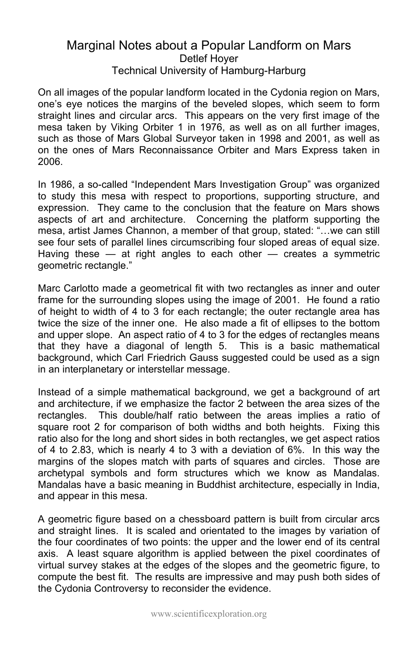#### Marginal Notes about a Popular Landform on Mars Detlef Hoyer Technical University of Hamburg-Harburg

On all images of the popular landform located in the Cydonia region on Mars, one's eye notices the margins of the beveled slopes, which seem to form straight lines and circular arcs. This appears on the very first image of the mesa taken by Viking Orbiter 1 in 1976, as well as on all further images, such as those of Mars Global Surveyor taken in 1998 and 2001, as well as on the ones of Mars Reconnaissance Orbiter and Mars Express taken in 2006.

In 1986, a so-called "Independent Mars Investigation Group" was organized to study this mesa with respect to proportions, supporting structure, and expression. They came to the conclusion that the feature on Mars shows aspects of art and architecture. Concerning the platform supporting the mesa, artist James Channon, a member of that group, stated: "…we can still see four sets of parallel lines circumscribing four sloped areas of equal size. Having these  $-$  at right angles to each other  $-$  creates a symmetric geometric rectangle."

Marc Carlotto made a geometrical fit with two rectangles as inner and outer frame for the surrounding slopes using the image of 2001. He found a ratio of height to width of 4 to 3 for each rectangle; the outer rectangle area has twice the size of the inner one. He also made a fit of ellipses to the bottom and upper slope. An aspect ratio of 4 to 3 for the edges of rectangles means that they have a diagonal of length 5. This is a basic mathematical background, which Carl Friedrich Gauss suggested could be used as a sign in an interplanetary or interstellar message.

Instead of a simple mathematical background, we get a background of art and architecture, if we emphasize the factor 2 between the area sizes of the rectangles. This double/half ratio between the areas implies a ratio of square root 2 for comparison of both widths and both heights. Fixing this ratio also for the long and short sides in both rectangles, we get aspect ratios of 4 to 2.83, which is nearly 4 to 3 with a deviation of 6%. In this way the margins of the slopes match with parts of squares and circles. Those are archetypal symbols and form structures which we know as Mandalas. Mandalas have a basic meaning in Buddhist architecture, especially in India, and appear in this mesa.

A geometric figure based on a chessboard pattern is built from circular arcs and straight lines. It is scaled and orientated to the images by variation of the four coordinates of two points: the upper and the lower end of its central axis. A least square algorithm is applied between the pixel coordinates of virtual survey stakes at the edges of the slopes and the geometric figure, to compute the best fit. The results are impressive and may push both sides of the Cydonia Controversy to reconsider the evidence.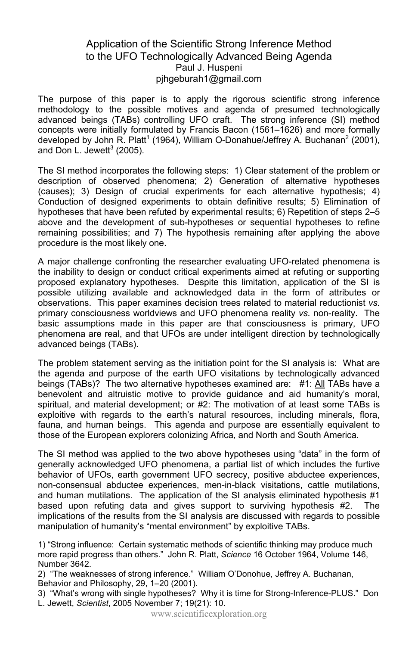#### Application of the Scientific Strong Inference Method to the UFO Technologically Advanced Being Agenda Paul J. Huspeni pjhgeburah1@gmail.com

The purpose of this paper is to apply the rigorous scientific strong inference methodology to the possible motives and agenda of presumed technologically advanced beings (TABs) controlling UFO craft. The strong inference (SI) method concepts were initially formulated by Francis Bacon (1561–1626) and more formally developed by John R. Platt<sup>1</sup> (1964), William O-Donahue/Jeffrey A. Buchanan<sup>2</sup> (2001), and Don L. Jewett $3$  (2005).

The SI method incorporates the following steps: 1) Clear statement of the problem or description of observed phenomena; 2) Generation of alternative hypotheses (causes); 3) Design of crucial experiments for each alternative hypothesis; 4) Conduction of designed experiments to obtain definitive results; 5) Elimination of hypotheses that have been refuted by experimental results; 6) Repetition of steps 2–5 above and the development of sub-hypotheses or sequential hypotheses to refine remaining possibilities; and 7) The hypothesis remaining after applying the above procedure is the most likely one.

A major challenge confronting the researcher evaluating UFO-related phenomena is the inability to design or conduct critical experiments aimed at refuting or supporting proposed explanatory hypotheses. Despite this limitation, application of the SI is possible utilizing available and acknowledged data in the form of attributes or observations. This paper examines decision trees related to material reductionist *vs.* primary consciousness worldviews and UFO phenomena reality *vs*. non-reality. The basic assumptions made in this paper are that consciousness is primary, UFO phenomena are real, and that UFOs are under intelligent direction by technologically advanced beings (TABs).

The problem statement serving as the initiation point for the SI analysis is: What are the agenda and purpose of the earth UFO visitations by technologically advanced beings (TABs)? The two alternative hypotheses examined are:  $\#1$ : All TABs have a benevolent and altruistic motive to provide guidance and aid humanity's moral, spiritual, and material development; or #2: The motivation of at least some TABs is exploitive with regards to the earth's natural resources, including minerals, flora, fauna, and human beings. This agenda and purpose are essentially equivalent to those of the European explorers colonizing Africa, and North and South America.

The SI method was applied to the two above hypotheses using "data" in the form of generally acknowledged UFO phenomena, a partial list of which includes the furtive behavior of UFOs, earth government UFO secrecy, positive abductee experiences, non-consensual abductee experiences, men-in-black visitations, cattle mutilations, and human mutilations. The application of the SI analysis eliminated hypothesis #1 based upon refuting data and gives support to surviving hypothesis #2. The implications of the results from the SI analysis are discussed with regards to possible manipulation of humanity's "mental environment" by exploitive TABs.

1) "Strong influence: Certain systematic methods of scientific thinking may produce much more rapid progress than others." John R. Platt, *Science* 16 October 1964, Volume 146, Number 3642.

2) "The weaknesses of strong inference." William O'Donohue, Jeffrey A. Buchanan, Behavior and Philosophy, 29, 1–20 (2001).

3) "What's wrong with single hypotheses? Why it is time for Strong-Inference-PLUS." Don L. Jewett, *Scientist*, 2005 November 7; 19(21): 10.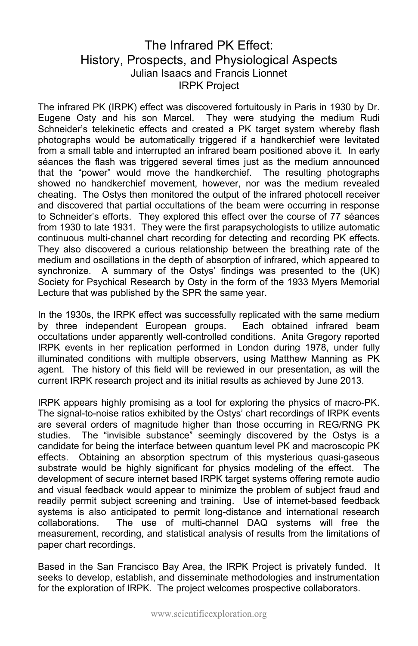### The Infrared PK Effect: History, Prospects, and Physiological Aspects Julian Isaacs and Francis Lionnet IRPK Project

The infrared PK (IRPK) effect was discovered fortuitously in Paris in 1930 by Dr. Eugene Osty and his son Marcel. They were studying the medium Rudi Schneider's telekinetic effects and created a PK target system whereby flash photographs would be automatically triggered if a handkerchief were levitated from a small table and interrupted an infrared beam positioned above it. In early séances the flash was triggered several times just as the medium announced that the "power" would move the handkerchief. The resulting photographs showed no handkerchief movement, however, nor was the medium revealed cheating. The Ostys then monitored the output of the infrared photocell receiver and discovered that partial occultations of the beam were occurring in response to Schneider's efforts. They explored this effect over the course of 77 séances from 1930 to late 1931. They were the first parapsychologists to utilize automatic continuous multi-channel chart recording for detecting and recording PK effects. They also discovered a curious relationship between the breathing rate of the medium and oscillations in the depth of absorption of infrared, which appeared to synchronize. A summary of the Ostys' findings was presented to the (UK) Society for Psychical Research by Osty in the form of the 1933 Myers Memorial Lecture that was published by the SPR the same year.

In the 1930s, the IRPK effect was successfully replicated with the same medium by three independent European groups. Each obtained infrared beam occultations under apparently well-controlled conditions. Anita Gregory reported IRPK events in her replication performed in London during 1978, under fully illuminated conditions with multiple observers, using Matthew Manning as PK agent. The history of this field will be reviewed in our presentation, as will the current IRPK research project and its initial results as achieved by June 2013.

IRPK appears highly promising as a tool for exploring the physics of macro-PK. The signal-to-noise ratios exhibited by the Ostys' chart recordings of IRPK events are several orders of magnitude higher than those occurring in REG/RNG PK studies. The "invisible substance" seemingly discovered by the Ostys is a candidate for being the interface between quantum level PK and macroscopic PK effects. Obtaining an absorption spectrum of this mysterious quasi-gaseous substrate would be highly significant for physics modeling of the effect. The development of secure internet based IRPK target systems offering remote audio and visual feedback would appear to minimize the problem of subject fraud and readily permit subject screening and training. Use of internet-based feedback systems is also anticipated to permit long-distance and international research collaborations. The use of multi-channel DAQ systems will free the measurement, recording, and statistical analysis of results from the limitations of paper chart recordings.

Based in the San Francisco Bay Area, the IRPK Project is privately funded. It seeks to develop, establish, and disseminate methodologies and instrumentation for the exploration of IRPK. The project welcomes prospective collaborators.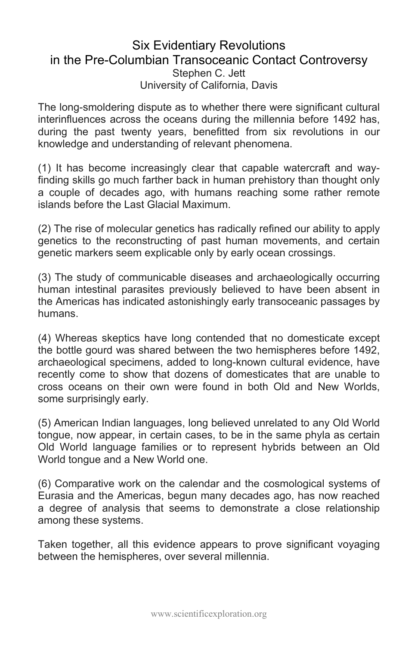#### Six Evidentiary Revolutions in the Pre-Columbian Transoceanic Contact Controversy Stephen C. Jett University of California, Davis

The long-smoldering dispute as to whether there were significant cultural interinfluences across the oceans during the millennia before 1492 has, during the past twenty years, benefitted from six revolutions in our knowledge and understanding of relevant phenomena.

(1) It has become increasingly clear that capable watercraft and wayfinding skills go much farther back in human prehistory than thought only a couple of decades ago, with humans reaching some rather remote islands before the Last Glacial Maximum.

(2) The rise of molecular genetics has radically refined our ability to apply genetics to the reconstructing of past human movements, and certain genetic markers seem explicable only by early ocean crossings.

(3) The study of communicable diseases and archaeologically occurring human intestinal parasites previously believed to have been absent in the Americas has indicated astonishingly early transoceanic passages by humans.

(4) Whereas skeptics have long contended that no domesticate except the bottle gourd was shared between the two hemispheres before 1492, archaeological specimens, added to long-known cultural evidence, have recently come to show that dozens of domesticates that are unable to cross oceans on their own were found in both Old and New Worlds, some surprisingly early.

(5) American Indian languages, long believed unrelated to any Old World tongue, now appear, in certain cases, to be in the same phyla as certain Old World language families or to represent hybrids between an Old World tongue and a New World one.

(6) Comparative work on the calendar and the cosmological systems of Eurasia and the Americas, begun many decades ago, has now reached a degree of analysis that seems to demonstrate a close relationship among these systems.

Taken together, all this evidence appears to prove significant voyaging between the hemispheres, over several millennia.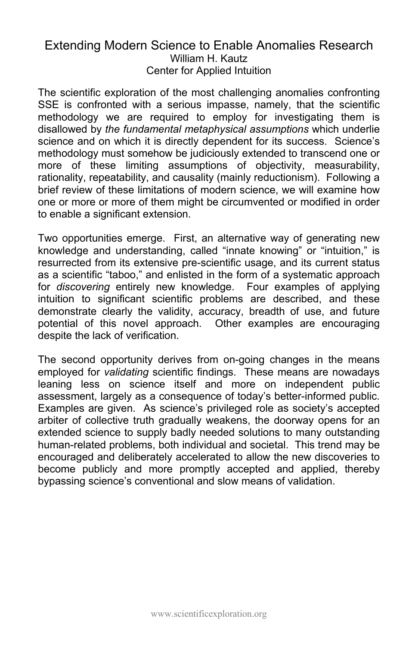### Extending Modern Science to Enable Anomalies Research William H. Kautz Center for Applied Intuition

The scientific exploration of the most challenging anomalies confronting SSE is confronted with a serious impasse, namely, that the scientific methodology we are required to employ for investigating them is disallowed by *the fundamental metaphysical assumptions* which underlie science and on which it is directly dependent for its success. Science's methodology must somehow be judiciously extended to transcend one or more of these limiting assumptions of objectivity, measurability, rationality, repeatability, and causality (mainly reductionism). Following a brief review of these limitations of modern science, we will examine how one or more or more of them might be circumvented or modified in order to enable a significant extension.

Two opportunities emerge. First, an alternative way of generating new knowledge and understanding, called "innate knowing" or "intuition," is resurrected from its extensive pre-scientific usage, and its current status as a scientific "taboo," and enlisted in the form of a systematic approach for *discovering* entirely new knowledge. Four examples of applying intuition to significant scientific problems are described, and these demonstrate clearly the validity, accuracy, breadth of use, and future potential of this novel approach. Other examples are encouraging despite the lack of verification.

The second opportunity derives from on-going changes in the means employed for *validating* scientific findings. These means are nowadays leaning less on science itself and more on independent public assessment, largely as a consequence of today's better-informed public. Examples are given. As science's privileged role as society's accepted arbiter of collective truth gradually weakens, the doorway opens for an extended science to supply badly needed solutions to many outstanding human-related problems, both individual and societal. This trend may be encouraged and deliberately accelerated to allow the new discoveries to become publicly and more promptly accepted and applied, thereby bypassing science's conventional and slow means of validation.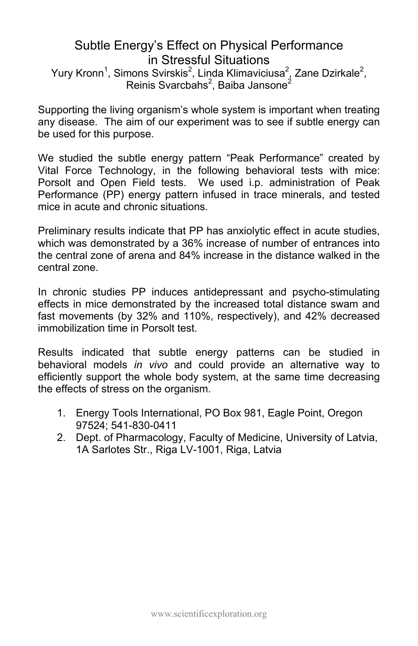## Subtle Energy's Effect on Physical Performance in Stressful Situations

Yury Kronn<sup>1</sup>, Simons Svirskis<sup>2</sup>, Linda Klimaviciusa<sup>2</sup>, Zane Dzirkale<sup>2</sup>, Reinis Svarcbahs<sup>2</sup>, Baiba Jansone<sup>2</sup>

Supporting the living organism's whole system is important when treating any disease. The aim of our experiment was to see if subtle energy can be used for this purpose.

We studied the subtle energy pattern "Peak Performance" created by Vital Force Technology, in the following behavioral tests with mice: Porsolt and Open Field tests. We used i.p. administration of Peak Performance (PP) energy pattern infused in trace minerals, and tested mice in acute and chronic situations.

Preliminary results indicate that PP has anxiolytic effect in acute studies, which was demonstrated by a 36% increase of number of entrances into the central zone of arena and 84% increase in the distance walked in the central zone.

In chronic studies PP induces antidepressant and psycho-stimulating effects in mice demonstrated by the increased total distance swam and fast movements (by 32% and 110%, respectively), and 42% decreased immobilization time in Porsolt test.

Results indicated that subtle energy patterns can be studied in behavioral models *in vivo* and could provide an alternative way to efficiently support the whole body system, at the same time decreasing the effects of stress on the organism.

- 1. Energy Tools International, PO Box 981, Eagle Point, Oregon 97524; 541-830-0411
- 2. Dept. of Pharmacology, Faculty of Medicine, University of Latvia, 1A Sarlotes Str., Riga LV-1001, Riga, Latvia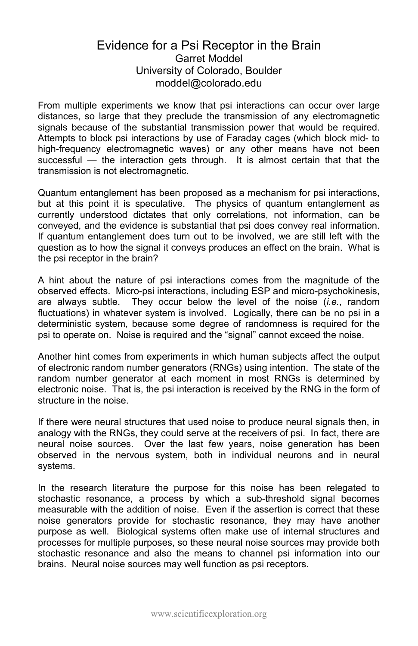#### Evidence for a Psi Receptor in the Brain Garret Moddel University of Colorado, Boulder [moddel@colorado.edu](mailto:moddel@colorado.edu)

From multiple experiments we know that psi interactions can occur over large distances, so large that they preclude the transmission of any electromagnetic signals because of the substantial transmission power that would be required. Attempts to block psi interactions by use of Faraday cages (which block mid- to high-frequency electromagnetic waves) or any other means have not been successful — the interaction gets through. It is almost certain that that the transmission is not electromagnetic.

Quantum entanglement has been proposed as a mechanism for psi interactions, but at this point it is speculative. The physics of quantum entanglement as currently understood dictates that only correlations, not information, can be conveyed, and the evidence is substantial that psi does convey real information. If quantum entanglement does turn out to be involved, we are still left with the question as to how the signal it conveys produces an effect on the brain. What is the psi receptor in the brain?

A hint about the nature of psi interactions comes from the magnitude of the observed effects. Micro-psi interactions, including ESP and micro-psychokinesis, are always subtle. They occur below the level of the noise (*i.e.*, random fluctuations) in whatever system is involved. Logically, there can be no psi in a deterministic system, because some degree of randomness is required for the psi to operate on. Noise is required and the "signal" cannot exceed the noise.

Another hint comes from experiments in which human subjects affect the output of electronic random number generators (RNGs) using intention. The state of the random number generator at each moment in most RNGs is determined by electronic noise. That is, the psi interaction is received by the RNG in the form of structure in the noise.

If there were neural structures that used noise to produce neural signals then, in analogy with the RNGs, they could serve at the receivers of psi. In fact, there are neural noise sources. Over the last few years, noise generation has been observed in the nervous system, both in individual neurons and in neural systems.

In the research literature the purpose for this noise has been relegated to stochastic resonance, a process by which a sub-threshold signal becomes measurable with the addition of noise. Even if the assertion is correct that these noise generators provide for stochastic resonance, they may have another purpose as well. Biological systems often make use of internal structures and processes for multiple purposes, so these neural noise sources may provide both stochastic resonance and also the means to channel psi information into our brains. Neural noise sources may well function as psi receptors.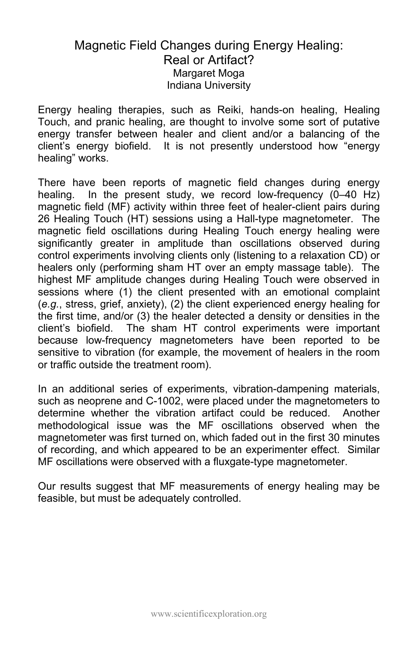### Magnetic Field Changes during Energy Healing: Real or Artifact? Margaret Moga Indiana University

Energy healing therapies, such as Reiki, hands-on healing, Healing Touch, and pranic healing, are thought to involve some sort of putative energy transfer between healer and client and/or a balancing of the client's energy biofield. It is not presently understood how "energy healing" works.

There have been reports of magnetic field changes during energy healing. In the present study, we record low-frequency (0–40 Hz) magnetic field (MF) activity within three feet of healer-client pairs during 26 Healing Touch (HT) sessions using a Hall-type magnetometer. The magnetic field oscillations during Healing Touch energy healing were significantly greater in amplitude than oscillations observed during control experiments involving clients only (listening to a relaxation CD) or healers only (performing sham HT over an empty massage table). The highest MF amplitude changes during Healing Touch were observed in sessions where (1) the client presented with an emotional complaint (*e.g.*, stress, grief, anxiety), (2) the client experienced energy healing for the first time, and/or (3) the healer detected a density or densities in the client's biofield. The sham HT control experiments were important because low-frequency magnetometers have been reported to be sensitive to vibration (for example, the movement of healers in the room or traffic outside the treatment room).

In an additional series of experiments, vibration-dampening materials, such as neoprene and C-1002, were placed under the magnetometers to determine whether the vibration artifact could be reduced. Another methodological issue was the MF oscillations observed when the magnetometer was first turned on, which faded out in the first 30 minutes of recording, and which appeared to be an experimenter effect. Similar MF oscillations were observed with a fluxgate-type magnetometer.

Our results suggest that MF measurements of energy healing may be feasible, but must be adequately controlled.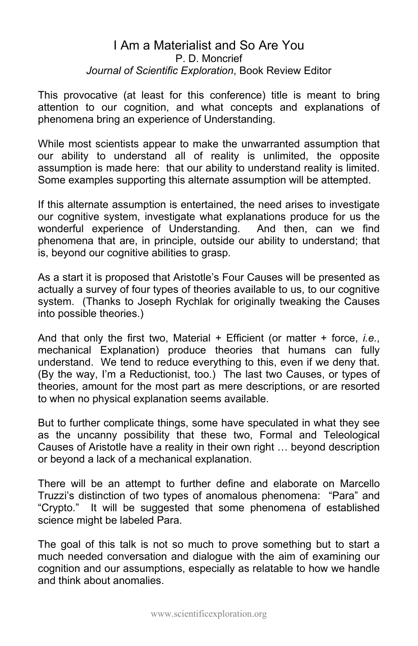#### I Am a Materialist and So Are You P. D. Moncrief *Journal of Scientific Exploration*, Book Review Editor

This provocative (at least for this conference) title is meant to bring attention to our cognition, and what concepts and explanations of phenomena bring an experience of Understanding.

While most scientists appear to make the unwarranted assumption that our ability to understand all of reality is unlimited, the opposite assumption is made here: that our ability to understand reality is limited. Some examples supporting this alternate assumption will be attempted.

If this alternate assumption is entertained, the need arises to investigate our cognitive system, investigate what explanations produce for us the wonderful experience of Understanding. And then, can we find phenomena that are, in principle, outside our ability to understand; that is, beyond our cognitive abilities to grasp.

As a start it is proposed that Aristotle's Four Causes will be presented as actually a survey of four types of theories available to us, to our cognitive system. (Thanks to Joseph Rychlak for originally tweaking the Causes into possible theories.)

And that only the first two, Material + Efficient (or matter + force, *i.e.*, mechanical Explanation) produce theories that humans can fully understand. We tend to reduce everything to this, even if we deny that. (By the way, I'm a Reductionist, too.) The last two Causes, or types of theories, amount for the most part as mere descriptions, or are resorted to when no physical explanation seems available.

But to further complicate things, some have speculated in what they see as the uncanny possibility that these two, Formal and Teleological Causes of Aristotle have a reality in their own right … beyond description or beyond a lack of a mechanical explanation.

There will be an attempt to further define and elaborate on Marcello Truzzi's distinction of two types of anomalous phenomena: "Para" and "Crypto." It will be suggested that some phenomena of established science might be labeled Para.

The goal of this talk is not so much to prove something but to start a much needed conversation and dialogue with the aim of examining our cognition and our assumptions, especially as relatable to how we handle and think about anomalies.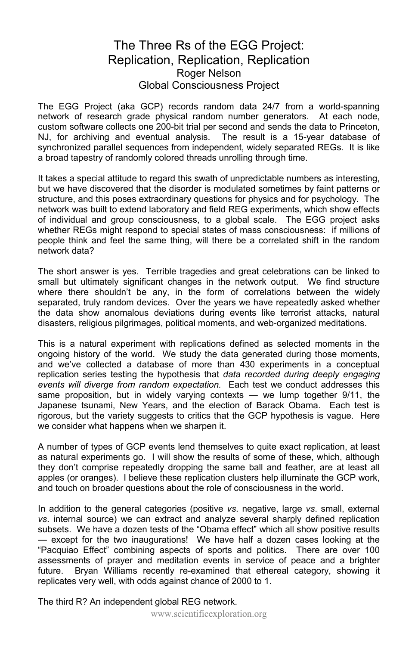#### The Three Rs of the EGG Project: Replication, Replication, Replication Roger Nelson Global Consciousness Project

The EGG Project (aka GCP) records random data 24/7 from a world-spanning network of research grade physical random number generators. At each node, custom software collects one 200-bit trial per second and sends the data to Princeton, NJ, for archiving and eventual analysis. The result is a 15-year database of synchronized parallel sequences from independent, widely separated REGs. It is like a broad tapestry of randomly colored threads unrolling through time.

It takes a special attitude to regard this swath of unpredictable numbers as interesting, but we have discovered that the disorder is modulated sometimes by faint patterns or structure, and this poses extraordinary questions for physics and for psychology. The network was built to extend laboratory and field REG experiments, which show effects of individual and group consciousness, to a global scale. The EGG project asks whether REGs might respond to special states of mass consciousness: if millions of people think and feel the same thing, will there be a correlated shift in the random network data?

The short answer is yes. Terrible tragedies and great celebrations can be linked to small but ultimately significant changes in the network output. We find structure where there shouldn't be any, in the form of correlations between the widely separated, truly random devices. Over the years we have repeatedly asked whether the data show anomalous deviations during events like terrorist attacks, natural disasters, religious pilgrimages, political moments, and web-organized meditations.

This is a natural experiment with replications defined as selected moments in the ongoing history of the world. We study the data generated during those moments, and we've collected a database of more than 430 experiments in a conceptual replication series testing the hypothesis that *data recorded during deeply engaging events will diverge from random expectation.* Each test we conduct addresses this same proposition, but in widely varying contexts  $-$  we lump together  $9/11$ , the Japanese tsunami, New Years, and the election of Barack Obama. Each test is rigorous, but the variety suggests to critics that the GCP hypothesis is vague. Here we consider what happens when we sharpen it.

A number of types of GCP events lend themselves to quite exact replication, at least as natural experiments go. I will show the results of some of these, which, although they don't comprise repeatedly dropping the same ball and feather, are at least all apples (or oranges). I believe these replication clusters help illuminate the GCP work, and touch on broader questions about the role of consciousness in the world.

In addition to the general categories (positive *vs*. negative, large *vs*. small, external *vs*. internal source) we can extract and analyze several sharply defined replication subsets. We have a dozen tests of the "Obama effect" which all show positive results — except for the two inaugurations! We have half a dozen cases looking at the "Pacquiao Effect" combining aspects of sports and politics. There are over 100 assessments of prayer and meditation events in service of peace and a brighter future. Bryan Williams recently re-examined that ethereal category, showing it replicates very well, with odds against chance of 2000 to 1.

The third R? An independent global REG network.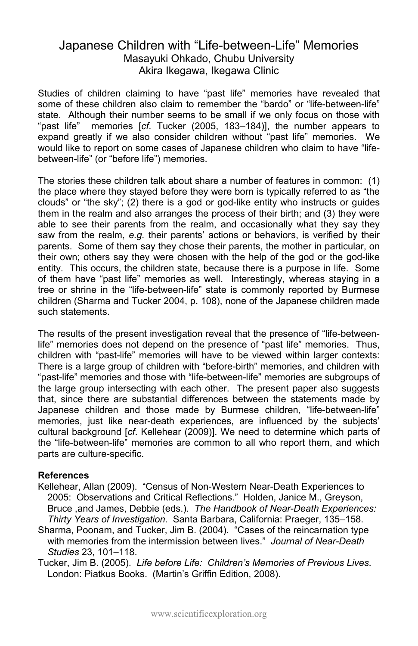#### Japanese Children with "Life-between-Life" Memories Masayuki Ohkado, Chubu University Akira Ikegawa, Ikegawa Clinic

Studies of children claiming to have "past life" memories have revealed that some of these children also claim to remember the "bardo" or "life-between-life" state. Although their number seems to be small if we only focus on those with "past life" memories [*cf*. Tucker (2005, 183–184)], the number appears to expand greatly if we also consider children without "past life" memories. We would like to report on some cases of Japanese children who claim to have "lifebetween-life" (or "before life") memories.

The stories these children talk about share a number of features in common: (1) the place where they stayed before they were born is typically referred to as "the clouds" or "the sky"; (2) there is a god or god-like entity who instructs or guides them in the realm and also arranges the process of their birth; and (3) they were able to see their parents from the realm, and occasionally what they say they saw from the realm, *e.g.* their parents' actions or behaviors, is verified by their parents. Some of them say they chose their parents, the mother in particular, on their own; others say they were chosen with the help of the god or the god-like entity. This occurs, the children state, because there is a purpose in life. Some of them have "past life" memories as well. Interestingly, whereas staying in a tree or shrine in the "life-between-life" state is commonly reported by Burmese children (Sharma and Tucker 2004, p. 108), none of the Japanese children made such statements.

The results of the present investigation reveal that the presence of "life-betweenlife" memories does not depend on the presence of "past life" memories. Thus, children with "past-life" memories will have to be viewed within larger contexts: There is a large group of children with "before-birth" memories, and children with "past-life" memories and those with "life-between-life" memories are subgroups of the large group intersecting with each other. The present paper also suggests that, since there are substantial differences between the statements made by Japanese children and those made by Burmese children, "life-between-life" memories, just like near-death experiences, are influenced by the subjects' cultural background [*cf*. Kellehear (2009)]. We need to determine which parts of the "life-between-life" memories are common to all who report them, and which parts are culture-specific.

#### **References**

- Kellehear, Allan (2009). "Census of Non-Western Near-Death Experiences to 2005: Observations and Critical Reflections." Holden, Janice M., Greyson, Bruce ,and James, Debbie (eds.). *The Handbook of Near-Death Experiences: Thirty Years of Investigation*. Santa Barbara, California: Praeger, 135–158.
- Sharma, Poonam, and Tucker, Jim B. (2004). "Cases of the reincarnation type with memories from the intermission between lives." *Journal of Near-Death Studies* 23, 101–118.

Tucker, Jim B. (2005). *Life before Life: Children's Memories of Previous Lives*. London: Piatkus Books. (Martin's Griffin Edition, 2008).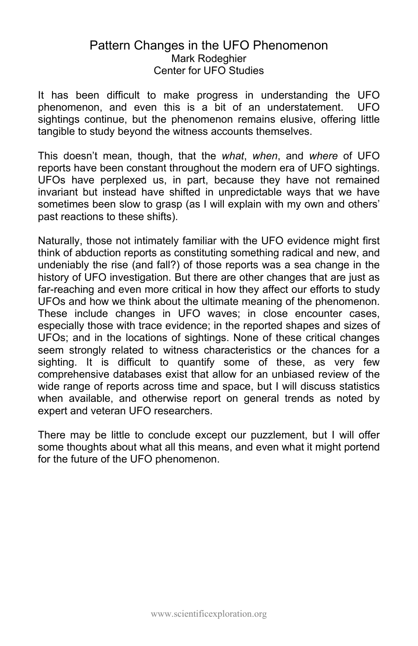#### Pattern Changes in the UFO Phenomenon Mark Rodeghier Center for UFO Studies

It has been difficult to make progress in understanding the UFO phenomenon, and even this is a bit of an understatement. UFO sightings continue, but the phenomenon remains elusive, offering little tangible to study beyond the witness accounts themselves.

This doesn't mean, though, that the *what*, *when*, and *where* of UFO reports have been constant throughout the modern era of UFO sightings. UFOs have perplexed us, in part, because they have not remained invariant but instead have shifted in unpredictable ways that we have sometimes been slow to grasp (as I will explain with my own and others' past reactions to these shifts).

Naturally, those not intimately familiar with the UFO evidence might first think of abduction reports as constituting something radical and new, and undeniably the rise (and fall?) of those reports was a sea change in the history of UFO investigation. But there are other changes that are just as far-reaching and even more critical in how they affect our efforts to study UFOs and how we think about the ultimate meaning of the phenomenon. These include changes in UFO waves; in close encounter cases, especially those with trace evidence; in the reported shapes and sizes of UFOs; and in the locations of sightings. None of these critical changes seem strongly related to witness characteristics or the chances for a sighting. It is difficult to quantify some of these, as very few comprehensive databases exist that allow for an unbiased review of the wide range of reports across time and space, but I will discuss statistics when available, and otherwise report on general trends as noted by expert and veteran UFO researchers.

There may be little to conclude except our puzzlement, but I will offer some thoughts about what all this means, and even what it might portend for the future of the UFO phenomenon.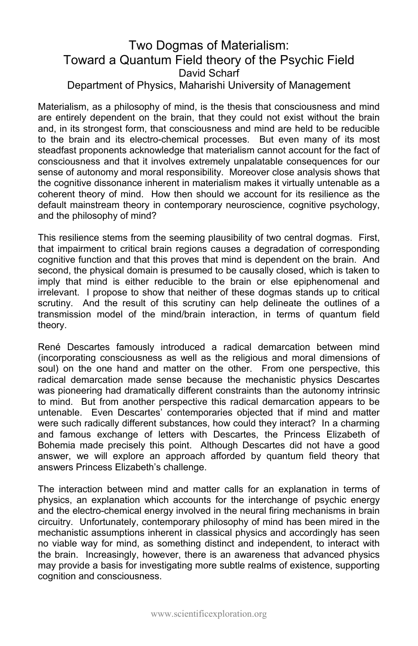#### Two Dogmas of Materialism: Toward a Quantum Field theory of the Psychic Field David Scharf Department of Physics, Maharishi University of Management

Materialism, as a philosophy of mind, is the thesis that consciousness and mind are entirely dependent on the brain, that they could not exist without the brain and, in its strongest form, that consciousness and mind are held to be reducible to the brain and its electro-chemical processes. But even many of its most steadfast proponents acknowledge that materialism cannot account for the fact of consciousness and that it involves extremely unpalatable consequences for our sense of autonomy and moral responsibility. Moreover close analysis shows that the cognitive dissonance inherent in materialism makes it virtually untenable as a coherent theory of mind. How then should we account for its resilience as the default mainstream theory in contemporary neuroscience, cognitive psychology, and the philosophy of mind?

This resilience stems from the seeming plausibility of two central dogmas. First, that impairment to critical brain regions causes a degradation of corresponding cognitive function and that this proves that mind is dependent on the brain. And second, the physical domain is presumed to be causally closed, which is taken to imply that mind is either reducible to the brain or else epiphenomenal and irrelevant. I propose to show that neither of these dogmas stands up to critical scrutiny. And the result of this scrutiny can help delineate the outlines of a transmission model of the mind/brain interaction, in terms of quantum field theory.

René Descartes famously introduced a radical demarcation between mind (incorporating consciousness as well as the religious and moral dimensions of soul) on the one hand and matter on the other. From one perspective, this radical demarcation made sense because the mechanistic physics Descartes was pioneering had dramatically different constraints than the autonomy intrinsic to mind. But from another perspective this radical demarcation appears to be untenable. Even Descartes' contemporaries objected that if mind and matter were such radically different substances, how could they interact? In a charming and famous exchange of letters with Descartes, the Princess Elizabeth of Bohemia made precisely this point. Although Descartes did not have a good answer, we will explore an approach afforded by quantum field theory that answers Princess Elizabeth's challenge.

The interaction between mind and matter calls for an explanation in terms of physics, an explanation which accounts for the interchange of psychic energy and the electro-chemical energy involved in the neural firing mechanisms in brain circuitry. Unfortunately, contemporary philosophy of mind has been mired in the mechanistic assumptions inherent in classical physics and accordingly has seen no viable way for mind, as something distinct and independent, to interact with the brain. Increasingly, however, there is an awareness that advanced physics may provide a basis for investigating more subtle realms of existence, supporting cognition and consciousness.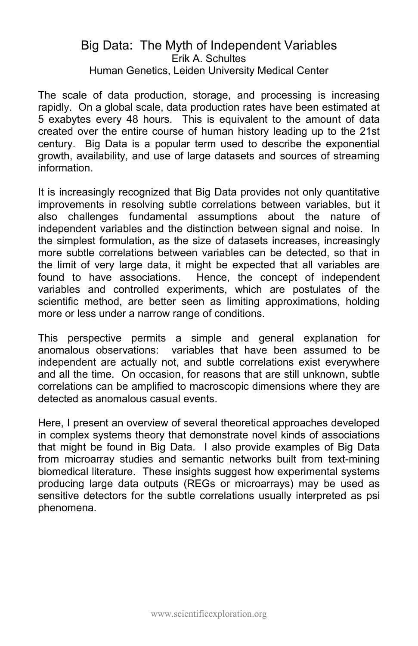#### Big Data: The Myth of Independent Variables Erik A. Schultes Human Genetics, Leiden University Medical Center

The scale of data production, storage, and processing is increasing rapidly. On a global scale, data production rates have been estimated at 5 exabytes every 48 hours. This is equivalent to the amount of data created over the entire course of human history leading up to the 21st century. Big Data is a popular term used to describe the exponential growth, availability, and use of large datasets and sources of streaming information.

It is increasingly recognized that Big Data provides not only quantitative improvements in resolving subtle correlations between variables, but it also challenges fundamental assumptions about the nature of independent variables and the distinction between signal and noise. In the simplest formulation, as the size of datasets increases, increasingly more subtle correlations between variables can be detected, so that in the limit of very large data, it might be expected that all variables are found to have associations. Hence, the concept of independent variables and controlled experiments, which are postulates of the scientific method, are better seen as limiting approximations, holding more or less under a narrow range of conditions.

This perspective permits a simple and general explanation for anomalous observations: variables that have been assumed to be independent are actually not, and subtle correlations exist everywhere and all the time. On occasion, for reasons that are still unknown, subtle correlations can be amplified to macroscopic dimensions where they are detected as anomalous casual events.

Here, I present an overview of several theoretical approaches developed in complex systems theory that demonstrate novel kinds of associations that might be found in Big Data. I also provide examples of Big Data from microarray studies and semantic networks built from text-mining biomedical literature. These insights suggest how experimental systems producing large data outputs (REGs or microarrays) may be used as sensitive detectors for the subtle correlations usually interpreted as psi phenomena.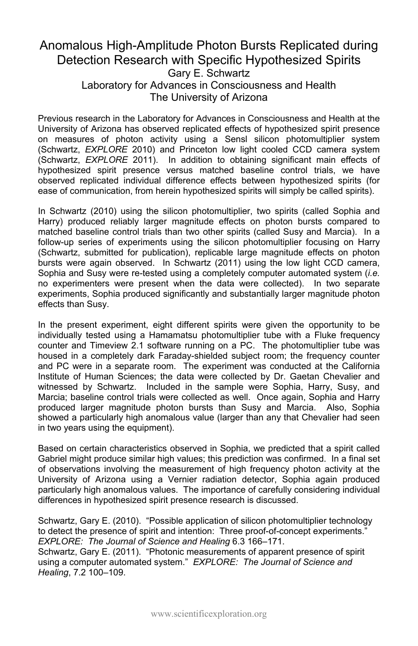#### Anomalous High-Amplitude Photon Bursts Replicated during Detection Research with Specific Hypothesized Spirits Gary E. Schwartz Laboratory for Advances in Consciousness and Health The University of Arizona

Previous research in the Laboratory for Advances in Consciousness and Health at the University of Arizona has observed replicated effects of hypothesized spirit presence on measures of photon activity using a Sensl silicon photomultiplier system (Schwartz, *EXPLORE* 2010) and Princeton low light cooled CCD camera system (Schwartz, *EXPLORE* 2011). In addition to obtaining significant main effects of hypothesized spirit presence versus matched baseline control trials, we have observed replicated individual difference effects between hypothesized spirits (for ease of communication, from herein hypothesized spirits will simply be called spirits).

In Schwartz (2010) using the silicon photomultiplier, two spirits (called Sophia and Harry) produced reliably larger magnitude effects on photon bursts compared to matched baseline control trials than two other spirits (called Susy and Marcia). In a follow-up series of experiments using the silicon photomultiplier focusing on Harry (Schwartz, submitted for publication), replicable large magnitude effects on photon bursts were again observed. In Schwartz (2011) using the low light CCD camera, Sophia and Susy were re-tested using a completely computer automated system (*i.e.* no experimenters were present when the data were collected). In two separate experiments, Sophia produced significantly and substantially larger magnitude photon effects than Susy.

In the present experiment, eight different spirits were given the opportunity to be individually tested using a Hamamatsu photomultiplier tube with a Fluke frequency counter and Timeview 2.1 software running on a PC. The photomultiplier tube was housed in a completely dark Faraday-shielded subject room; the frequency counter and PC were in a separate room. The experiment was conducted at the California Institute of Human Sciences; the data were collected by Dr. Gaetan Chevalier and witnessed by Schwartz. Included in the sample were Sophia, Harry, Susy, and Marcia; baseline control trials were collected as well. Once again, Sophia and Harry produced larger magnitude photon bursts than Susy and Marcia. Also, Sophia showed a particularly high anomalous value (larger than any that Chevalier had seen in two years using the equipment).

Based on certain characteristics observed in Sophia, we predicted that a spirit called Gabriel might produce similar high values; this prediction was confirmed. In a final set of observations involving the measurement of high frequency photon activity at the University of Arizona using a Vernier radiation detector, Sophia again produced particularly high anomalous values. The importance of carefully considering individual differences in hypothesized spirit presence research is discussed.

Schwartz, Gary E. (2010). "Possible application of silicon photomultiplier technology to detect the presence of spirit and intention: Three proof-of-concept experiments." *EXPLORE: The Journal of Science and Healing* 6.3 166–171.

Schwartz, Gary E. (2011). "Photonic measurements of apparent presence of spirit using a computer automated system." *EXPLORE: The Journal of Science and Healing*, 7.2 100–109.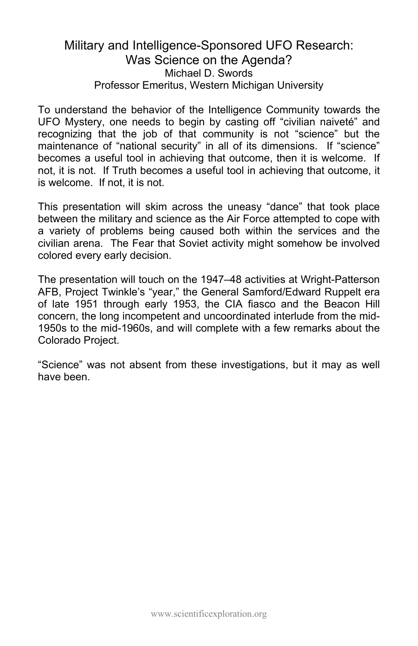#### Military and Intelligence-Sponsored UFO Research: Was Science on the Agenda? Michael D. Swords Professor Emeritus, Western Michigan University

To understand the behavior of the Intelligence Community towards the UFO Mystery, one needs to begin by casting off "civilian naiveté" and recognizing that the job of that community is not "science" but the maintenance of "national security" in all of its dimensions. If "science" becomes a useful tool in achieving that outcome, then it is welcome. If not, it is not. If Truth becomes a useful tool in achieving that outcome, it is welcome. If not, it is not.

This presentation will skim across the uneasy "dance" that took place between the military and science as the Air Force attempted to cope with a variety of problems being caused both within the services and the civilian arena. The Fear that Soviet activity might somehow be involved colored every early decision.

The presentation will touch on the 1947–48 activities at Wright-Patterson AFB, Project Twinkle's "year," the General Samford/Edward Ruppelt era of late 1951 through early 1953, the CIA fiasco and the Beacon Hill concern, the long incompetent and uncoordinated interlude from the mid-1950s to the mid-1960s, and will complete with a few remarks about the Colorado Project.

"Science" was not absent from these investigations, but it may as well have been.